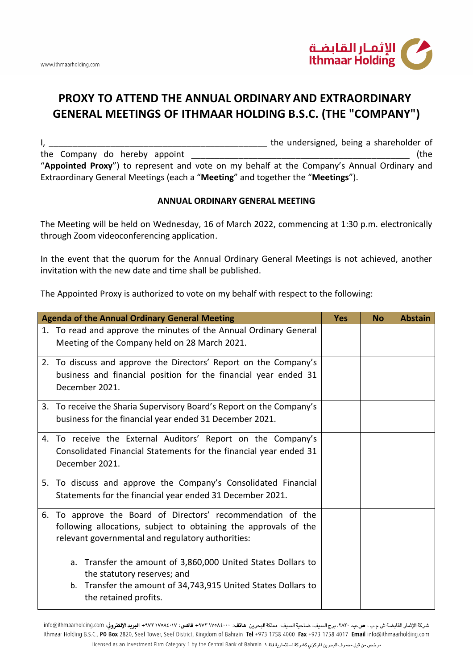

## **PROXY TO ATTEND THE ANNUAL ORDINARY AND EXTRAORDINARY GENERAL MEETINGS OF ITHMAAR HOLDING B.S.C. (THE "COMPANY")**

I, \_\_\_\_\_\_\_\_\_\_\_\_\_\_\_\_\_\_\_\_\_\_\_\_\_\_\_\_\_\_\_\_\_\_\_\_\_\_\_\_\_\_\_\_\_\_ the undersigned, being a shareholder of the Company do hereby appoint  $($ the  $)$ "**Appointed Proxy**") to represent and vote on my behalf at the Company's Annual Ordinary and Extraordinary General Meetings (each a "**Meeting**" and together the "**Meetings**").

## **ANNUAL ORDINARY GENERAL MEETING**

The Meeting will be held on Wednesday, 16 of March 2022, commencing at 1:30 p.m. electronically through Zoom videoconferencing application.

In the event that the quorum for the Annual Ordinary General Meetings is not achieved, another invitation with the new date and time shall be published.

The Appointed Proxy is authorized to vote on my behalf with respect to the following:

| 1. To read and approve the minutes of the Annual Ordinary General<br>Meeting of the Company held on 28 March 2021.                                                                                                                                                                                                                                      |                       |  |
|---------------------------------------------------------------------------------------------------------------------------------------------------------------------------------------------------------------------------------------------------------------------------------------------------------------------------------------------------------|-----------------------|--|
|                                                                                                                                                                                                                                                                                                                                                         |                       |  |
| 2. To discuss and approve the Directors' Report on the Company's<br>business and financial position for the financial year ended 31<br>December 2021.                                                                                                                                                                                                   |                       |  |
| 3. To receive the Sharia Supervisory Board's Report on the Company's<br>business for the financial year ended 31 December 2021.                                                                                                                                                                                                                         |                       |  |
| 4. To receive the External Auditors' Report on the Company's<br>Consolidated Financial Statements for the financial year ended 31<br>December 2021.                                                                                                                                                                                                     |                       |  |
| 5. To discuss and approve the Company's Consolidated Financial<br>Statements for the financial year ended 31 December 2021.                                                                                                                                                                                                                             |                       |  |
| 6. To approve the Board of Directors' recommendation of the<br>following allocations, subject to obtaining the approvals of the<br>relevant governmental and regulatory authorities:<br>Transfer the amount of 3,860,000 United States Dollars to<br>a.<br>the statutory reserves; and<br>b. Transfer the amount of 34,743,915 United States Dollars to |                       |  |
|                                                                                                                                                                                                                                                                                                                                                         | the retained profits. |  |

شركة الإثمار القابضة ش.م.ب.، ص.ب. ٢٨٢٠، برج السيف، ضاحية السيف، مملكة البحرين هاتف: ١٠٠٧٨١٧٧٠٨٤٠٠ فاكس: ١٨٢٧-١٨٤٠٧ + البريد الإلكتروني: info@ithmaarholding.com Ithmaar Holding B.S.C., PO Box 2820, Seef Tower, Seef District, Kingdom of Bahrain Tel +973 1758 4000 Fax +973 1758 4017 Email info@ithmaarholding.com مرخص من قبل مصرف البحرين الركزي كشركة استثمارية فئة ١ Licensed as an Investment Firm Category 1 by the Central Bank of Bahrain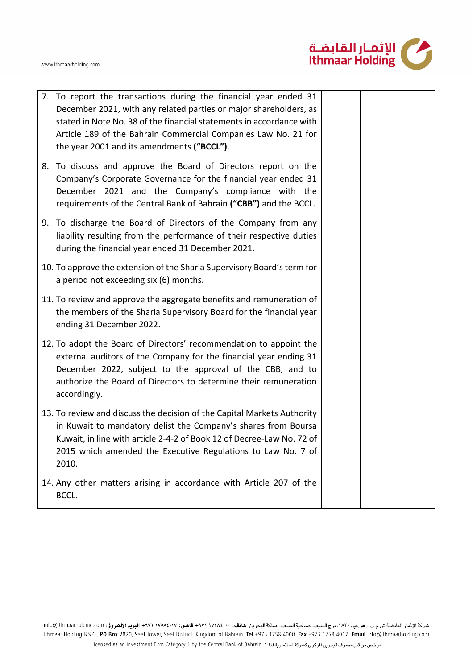



| 7. To report the transactions during the financial year ended 31<br>December 2021, with any related parties or major shareholders, as<br>stated in Note No. 38 of the financial statements in accordance with<br>Article 189 of the Bahrain Commercial Companies Law No. 21 for<br>the year 2001 and its amendments ("BCCL"). |  |  |
|-------------------------------------------------------------------------------------------------------------------------------------------------------------------------------------------------------------------------------------------------------------------------------------------------------------------------------|--|--|
| 8. To discuss and approve the Board of Directors report on the<br>Company's Corporate Governance for the financial year ended 31<br>December 2021 and the Company's compliance with the<br>requirements of the Central Bank of Bahrain ("CBB") and the BCCL.                                                                  |  |  |
| 9. To discharge the Board of Directors of the Company from any<br>liability resulting from the performance of their respective duties<br>during the financial year ended 31 December 2021.                                                                                                                                    |  |  |
| 10. To approve the extension of the Sharia Supervisory Board's term for<br>a period not exceeding six (6) months.                                                                                                                                                                                                             |  |  |
| 11. To review and approve the aggregate benefits and remuneration of<br>the members of the Sharia Supervisory Board for the financial year<br>ending 31 December 2022.                                                                                                                                                        |  |  |
| 12. To adopt the Board of Directors' recommendation to appoint the<br>external auditors of the Company for the financial year ending 31<br>December 2022, subject to the approval of the CBB, and to<br>authorize the Board of Directors to determine their remuneration<br>accordingly.                                      |  |  |
| 13. To review and discuss the decision of the Capital Markets Authority<br>in Kuwait to mandatory delist the Company's shares from Boursa<br>Kuwait, in line with article 2-4-2 of Book 12 of Decree-Law No. 72 of<br>2015 which amended the Executive Regulations to Law No. 7 of<br>2010.                                   |  |  |
| 14. Any other matters arising in accordance with Article 207 of the<br>BCCL.                                                                                                                                                                                                                                                  |  |  |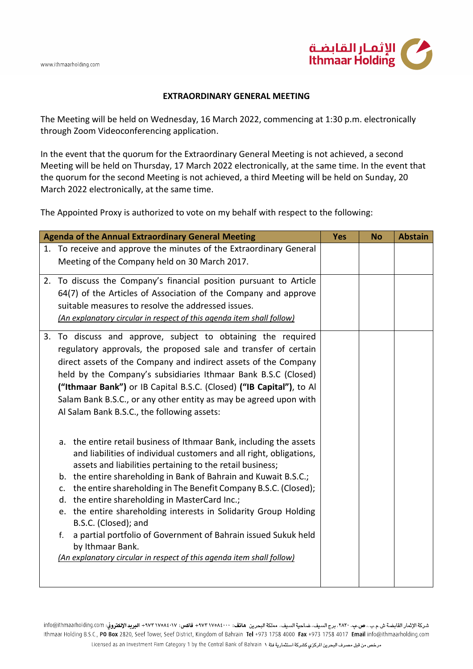

## **EXTRAORDINARY GENERAL MEETING**

The Meeting will be held on Wednesday, 16 March 2022, commencing at 1:30 p.m. electronically through Zoom Videoconferencing application.

In the event that the quorum for the Extraordinary General Meeting is not achieved, a second Meeting will be held on Thursday, 17 March 2022 electronically, at the same time. In the event that the quorum for the second Meeting is not achieved, a third Meeting will be held on Sunday, 20 March 2022 electronically, at the same time.

The Appointed Proxy is authorized to vote on my behalf with respect to the following:

| <b>Agenda of the Annual Extraordinary General Meeting</b> |                                                                                                                                            | <b>Yes</b> | <b>No</b> | <b>Abstain</b> |
|-----------------------------------------------------------|--------------------------------------------------------------------------------------------------------------------------------------------|------------|-----------|----------------|
|                                                           | 1. To receive and approve the minutes of the Extraordinary General                                                                         |            |           |                |
|                                                           | Meeting of the Company held on 30 March 2017.                                                                                              |            |           |                |
|                                                           | 2. To discuss the Company's financial position pursuant to Article                                                                         |            |           |                |
|                                                           | 64(7) of the Articles of Association of the Company and approve                                                                            |            |           |                |
|                                                           | suitable measures to resolve the addressed issues.                                                                                         |            |           |                |
|                                                           | (An explanatory circular in respect of this agenda item shall follow)                                                                      |            |           |                |
| 3.                                                        | To discuss and approve, subject to obtaining the required                                                                                  |            |           |                |
|                                                           | regulatory approvals, the proposed sale and transfer of certain                                                                            |            |           |                |
|                                                           | direct assets of the Company and indirect assets of the Company                                                                            |            |           |                |
|                                                           | held by the Company's subsidiaries Ithmaar Bank B.S.C (Closed)                                                                             |            |           |                |
|                                                           | ("Ithmaar Bank") or IB Capital B.S.C. (Closed) ("IB Capital"), to Al<br>Salam Bank B.S.C., or any other entity as may be agreed upon with  |            |           |                |
|                                                           | Al Salam Bank B.S.C., the following assets:                                                                                                |            |           |                |
|                                                           |                                                                                                                                            |            |           |                |
|                                                           |                                                                                                                                            |            |           |                |
|                                                           | a. the entire retail business of Ithmaar Bank, including the assets<br>and liabilities of individual customers and all right, obligations, |            |           |                |
|                                                           | assets and liabilities pertaining to the retail business;                                                                                  |            |           |                |
|                                                           | the entire shareholding in Bank of Bahrain and Kuwait B.S.C.;<br>b.                                                                        |            |           |                |
|                                                           | the entire shareholding in The Benefit Company B.S.C. (Closed);<br>c.                                                                      |            |           |                |
|                                                           | the entire shareholding in MasterCard Inc.;<br>d.                                                                                          |            |           |                |
|                                                           | e. the entire shareholding interests in Solidarity Group Holding                                                                           |            |           |                |
|                                                           | B.S.C. (Closed); and<br>a partial portfolio of Government of Bahrain issued Sukuk held<br>f.                                               |            |           |                |
|                                                           | by Ithmaar Bank.                                                                                                                           |            |           |                |
|                                                           | (An explanatory circular in respect of this agenda item shall follow)                                                                      |            |           |                |
|                                                           |                                                                                                                                            |            |           |                |
|                                                           |                                                                                                                                            |            |           |                |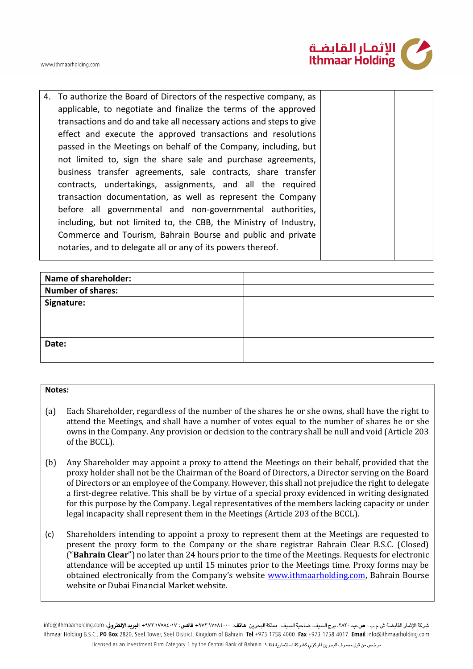



4. To authorize the Board of Directors of the respective company, as applicable, to negotiate and finalize the terms of the approved transactions and do and take all necessary actions and steps to give effect and execute the approved transactions and resolutions passed in the Meetings on behalf of the Company, including, but not limited to, sign the share sale and purchase agreements, business transfer agreements, sale contracts, share transfer contracts, undertakings, assignments, and all the required transaction documentation, as well as represent the Company before all governmental and non-governmental authorities, including, but not limited to, the CBB, the Ministry of Industry, Commerce and Tourism, Bahrain Bourse and public and private notaries, and to delegate all or any of its powers thereof.

| Name of shareholder:     |  |
|--------------------------|--|
| <b>Number of shares:</b> |  |
| Signature:               |  |
| Date:                    |  |

## **Notes:**

- (a) Each Shareholder, regardless of the number of the shares he or she owns, shall have the right to attend the Meetings, and shall have a number of votes equal to the number of shares he or she owns in the Company. Any provision or decision to the contrary shall be null and void (Article 203 of the BCCL).
- (b) Any Shareholder may appoint a proxy to attend the Meetings on their behalf, provided that the proxy holder shall not be the Chairman of the Board of Directors, a Director serving on the Board of Directors or an employee of the Company. However, this shall not prejudice the right to delegate a first-degree relative. This shall be by virtue of a special proxy evidenced in writing designated for this purpose by the Company. Legal representatives of the members lacking capacity or under legal incapacity shall represent them in the Meetings (Article 203 of the BCCL).
- (c) Shareholders intending to appoint a proxy to represent them at the Meetings are requested to present the proxy form to the Company or the share registrar Bahrain Clear B.S.C. (Closed) ("**Bahrain Clear**") no later than 24 hours prior to the time of the Meetings. Requests for electronic attendance will be accepted up until 15 minutes prior to the Meetings time. Proxy forms may be obtained electronically from the Company's website [www.ithmaarholding.com,](http://www.ithmaarholding.com/) Bahrain Bourse website or Dubai Financial Market website.